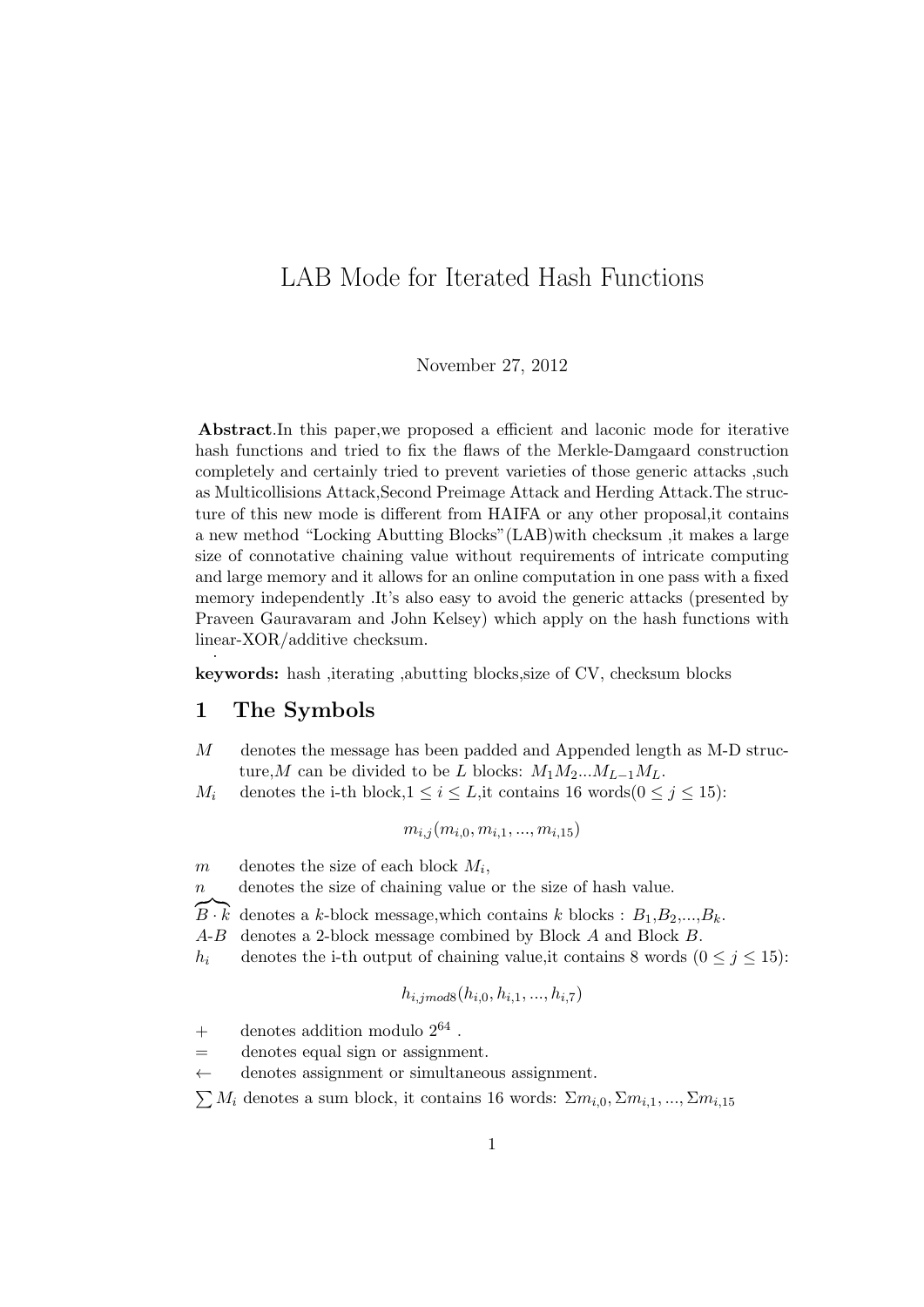# LAB Mode for Iterated Hash Functions

#### November 27, 2012

Abstract.In this paper,we proposed a efficient and laconic mode for iterative hash functions and tried to fix the flaws of the Merkle-Damgaard construction completely and certainly tried to prevent varieties of those generic attacks ,such as Multicollisions Attack,Second Preimage Attack and Herding Attack.The structure of this new mode is different from HAIFA or any other proposal,it contains a new method "Locking Abutting Blocks"(LAB)with checksum ,it makes a large size of connotative chaining value without requirements of intricate computing and large memory and it allows for an online computation in one pass with a fixed memory independently .It's also easy to avoid the generic attacks (presented by Praveen Gauravaram and John Kelsey) which apply on the hash functions with linear-XOR/additive checksum. .

keywords: hash ,iterating ,abutting blocks,size of CV, checksum blocks

### 1 The Symbols

- M denotes the message has been padded and Appended length as M-D structure,M can be divided to be L blocks:  $M_1M_2...M_{L-1}M_L$ .
- $M_i$  denotes the i-th block,  $1 \le i \le L$ , it contains 16 words $(0 \le j \le 15)$ :

$$
m_{i,j}(m_{i,0}, m_{i,1}, ..., m_{i,15})
$$

 $m$  denotes the size of each block  $M_i$ ,

n denotes the size of chaining value or the size of hash value.

 ${\overline{B\cdot k}}$  denotes a k-block message, which contains k blocks :  $B_1, B_2, ..., B_k$ .

- A-B denotes a 2-block message combined by Block A and Block B.
- h<sub>i</sub> denotes the i-th output of chaining value, it contains 8 words  $(0 \le j \le 15)$ :

$$
h_{i,jmod8}(h_{i,0}, h_{i,1}, ..., h_{i,7})
$$

- $+$  denotes addition modulo  $2^{64}$ .
- = denotes equal sign or assignment.
- $\leftarrow$  denotes assignment or simultaneous assignment.

 $\sum M_i$  denotes a sum block, it contains 16 words:  $\sum m_{i,0}, \sum m_{i,1}, \dots, \sum m_{i,15}$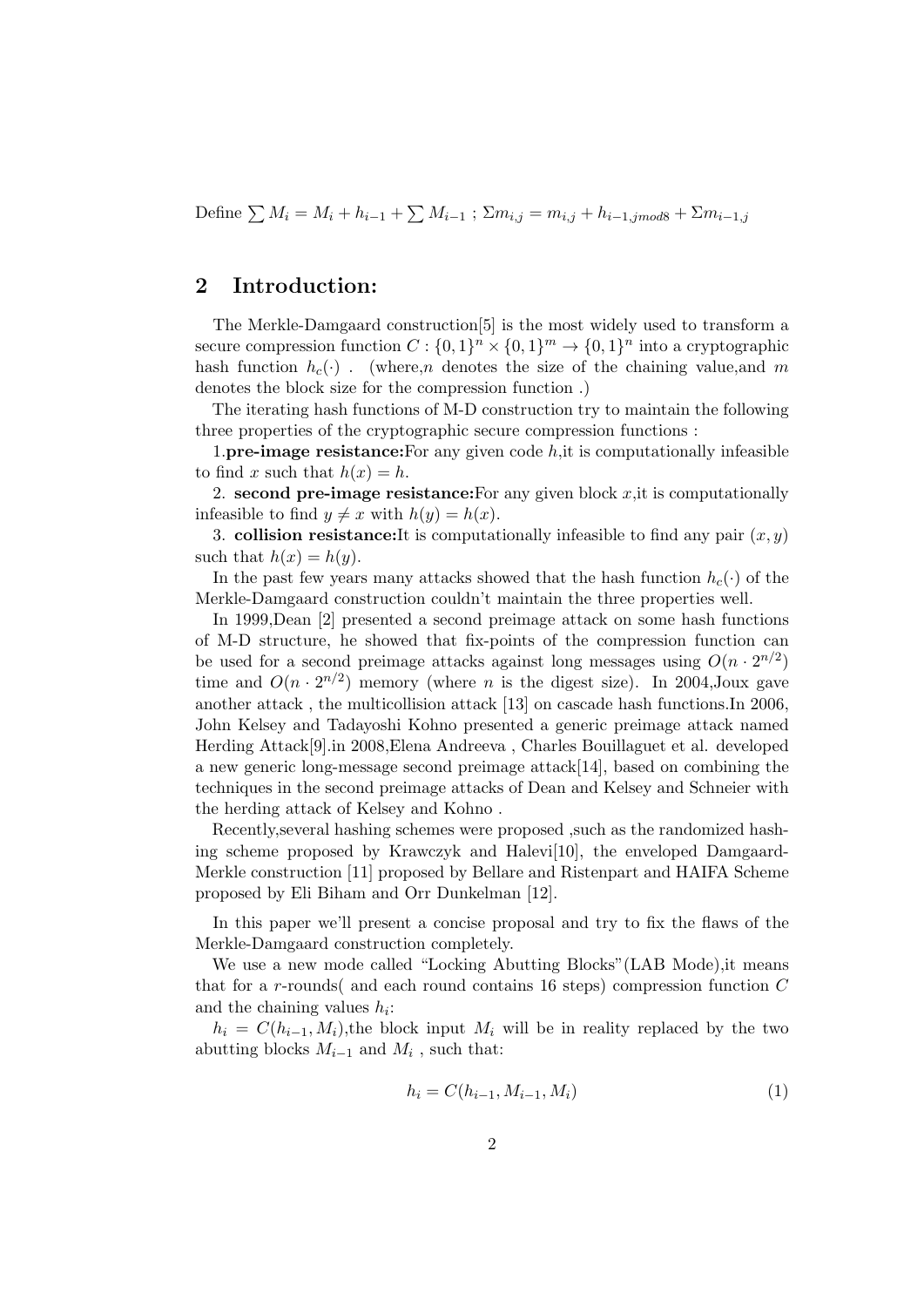Define  $\sum M_i = M_i + h_{i-1} + \sum M_{i-1}$ ;  $\sum m_{i,j} = m_{i,j} + h_{i-1,jmod8} + \sum m_{i-1,j}$ 

# 2 Introduction:

The Merkle-Damgaard construction[5] is the most widely used to transform a secure compression function  $C: \{0,1\}^n \times \{0,1\}^m \to \{0,1\}^n$  into a cryptographic hash function  $h_c(\cdot)$ . (where, *n* denotes the size of the chaining value, and *m* denotes the block size for the compression function .)

The iterating hash functions of M-D construction try to maintain the following three properties of the cryptographic secure compression functions :

1.**pre-image resistance:**For any given code  $h$ , it is computationally infeasible to find x such that  $h(x) = h$ .

2. second pre-image resistance: For any given block  $x$ , it is computationally infeasible to find  $y \neq x$  with  $h(y) = h(x)$ .

3. collision resistance: It is computationally infeasible to find any pair  $(x, y)$ such that  $h(x) = h(y)$ .

In the past few years many attacks showed that the hash function  $h_c(\cdot)$  of the Merkle-Damgaard construction couldn't maintain the three properties well.

In 1999,Dean [2] presented a second preimage attack on some hash functions of M-D structure, he showed that fix-points of the compression function can be used for a second preimage attacks against long messages using  $O(n \cdot 2^{n/2})$ time and  $O(n \cdot 2^{n/2})$  memory (where *n* is the digest size). In 2004, Joux gave another attack , the multicollision attack [13] on cascade hash functions.In 2006, John Kelsey and Tadayoshi Kohno presented a generic preimage attack named Herding Attack[9].in 2008,Elena Andreeva , Charles Bouillaguet et al. developed a new generic long-message second preimage attack[14], based on combining the techniques in the second preimage attacks of Dean and Kelsey and Schneier with the herding attack of Kelsey and Kohno .

Recently,several hashing schemes were proposed ,such as the randomized hashing scheme proposed by Krawczyk and Halevi[10], the enveloped Damgaard-Merkle construction [11] proposed by Bellare and Ristenpart and HAIFA Scheme proposed by Eli Biham and Orr Dunkelman [12].

In this paper we'll present a concise proposal and try to fix the flaws of the Merkle-Damgaard construction completely.

We use a new mode called "Locking Abutting Blocks"(LAB Mode),it means that for a r-rounds and each round contains 16 steps) compression function  $C$ and the chaining values  $h_i$ :

 $h_i = C(h_{i-1}, M_i)$ , the block input  $M_i$  will be in reality replaced by the two abutting blocks  $M_{i-1}$  and  $M_i$ , such that:

$$
h_i = C(h_{i-1}, M_{i-1}, M_i)
$$
\n(1)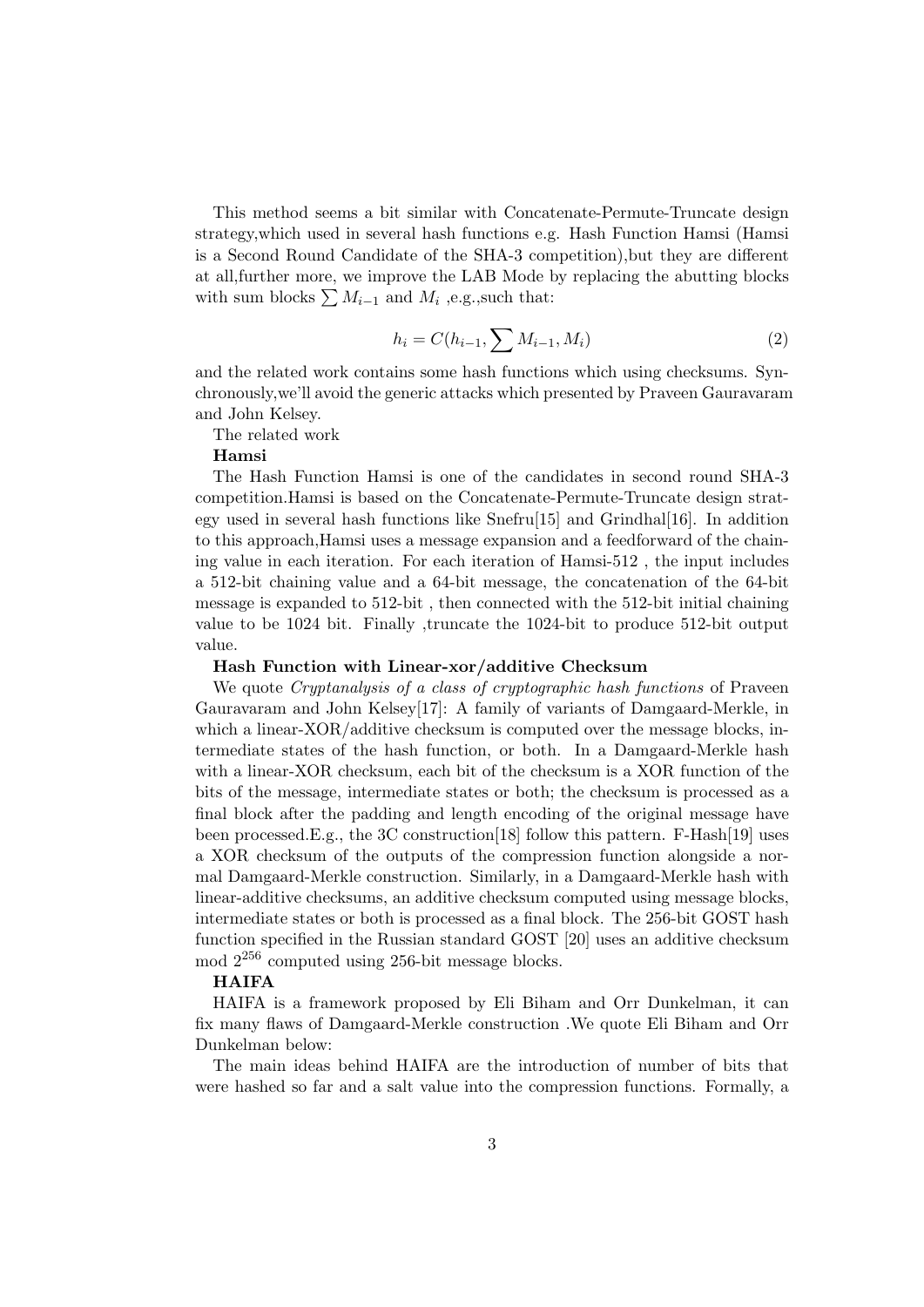This method seems a bit similar with Concatenate-Permute-Truncate design strategy,which used in several hash functions e.g. Hash Function Hamsi (Hamsi is a Second Round Candidate of the SHA-3 competition),but they are different at all,further more, we improve the LAB Mode by replacing the abutting blocks with sum blocks  $\sum M_{i-1}$  and  $M_i$ , e.g., such that:

$$
h_i = C(h_{i-1}, \sum M_{i-1}, M_i)
$$
 (2)

and the related work contains some hash functions which using checksums. Synchronously,we'll avoid the generic attacks which presented by Praveen Gauravaram and John Kelsey.

The related work

Hamsi

The Hash Function Hamsi is one of the candidates in second round SHA-3 competition.Hamsi is based on the Concatenate-Permute-Truncate design strategy used in several hash functions like  $Snefru[15]$  and Grindhal $[16]$ . In addition to this approach,Hamsi uses a message expansion and a feedforward of the chaining value in each iteration. For each iteration of Hamsi-512 , the input includes a 512-bit chaining value and a 64-bit message, the concatenation of the 64-bit message is expanded to 512-bit , then connected with the 512-bit initial chaining value to be 1024 bit. Finally ,truncate the 1024-bit to produce 512-bit output value.

#### Hash Function with Linear-xor/additive Checksum

We quote *Cryptanalysis of a class of cryptographic hash functions* of Praveen Gauravaram and John Kelsey[17]: A family of variants of Damgaard-Merkle, in which a linear-XOR/additive checksum is computed over the message blocks, intermediate states of the hash function, or both. In a Damgaard-Merkle hash with a linear-XOR checksum, each bit of the checksum is a XOR function of the bits of the message, intermediate states or both; the checksum is processed as a final block after the padding and length encoding of the original message have been processed. E.g., the 3C construction [18] follow this pattern. F-Hash [19] uses a XOR checksum of the outputs of the compression function alongside a normal Damgaard-Merkle construction. Similarly, in a Damgaard-Merkle hash with linear-additive checksums, an additive checksum computed using message blocks, intermediate states or both is processed as a final block. The 256-bit GOST hash function specified in the Russian standard GOST [20] uses an additive checksum mod 2<sup>256</sup> computed using 256-bit message blocks.

### **HAIFA**

HAIFA is a framework proposed by Eli Biham and Orr Dunkelman, it can fix many flaws of Damgaard-Merkle construction .We quote Eli Biham and Orr Dunkelman below:

The main ideas behind HAIFA are the introduction of number of bits that were hashed so far and a salt value into the compression functions. Formally, a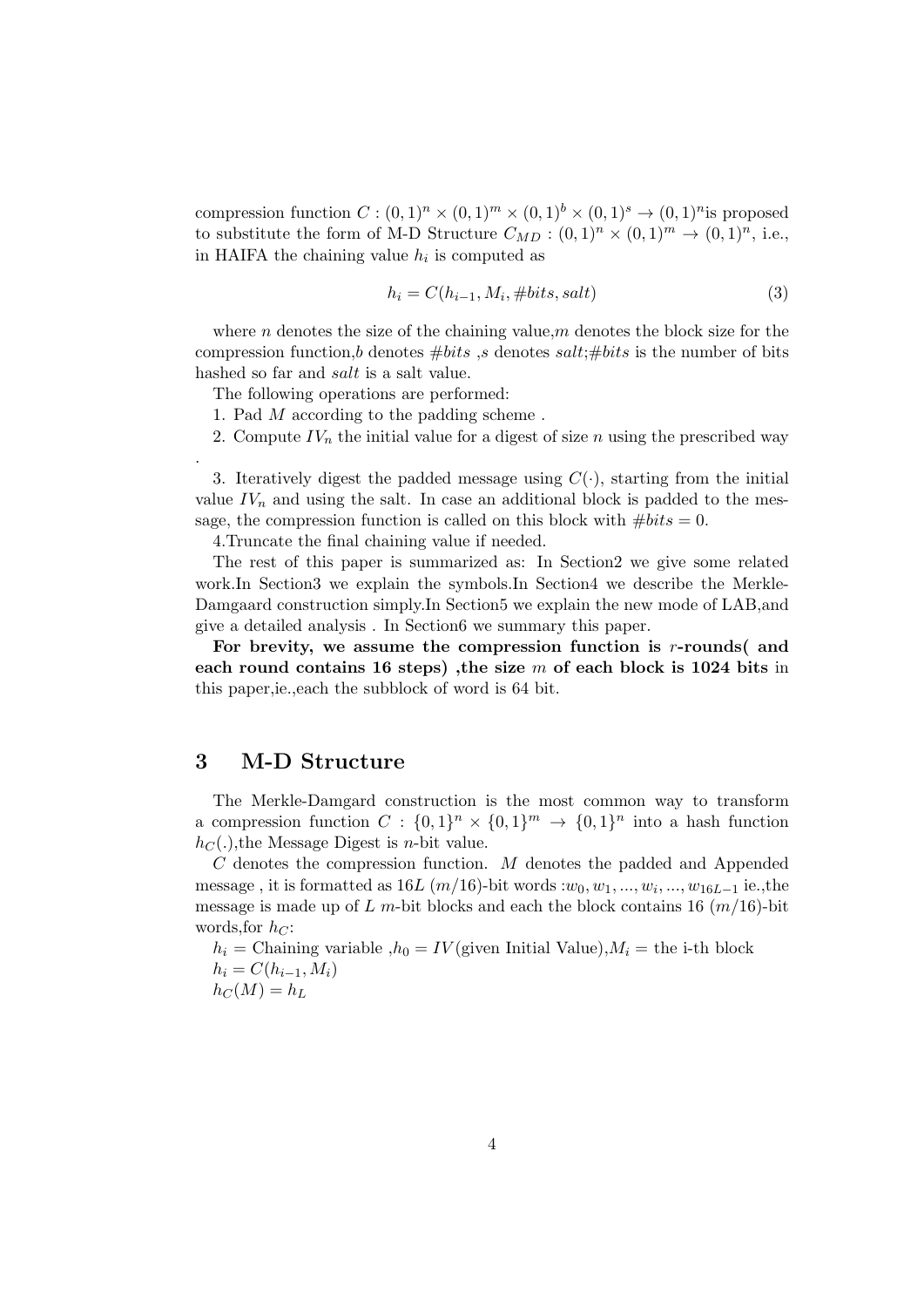compression function  $C : (0,1)^n \times (0,1)^m \times (0,1)^b \times (0,1)^s \rightarrow (0,1)^n$  is proposed to substitute the form of M-D Structure  $C_{MD} : (0,1)^n \times (0,1)^m \rightarrow (0,1)^n$ , i.e., in HAIFA the chaining value  $h_i$  is computed as

$$
h_i = C(h_{i-1}, M_i, \# bits, salt)
$$
\n<sup>(3)</sup>

where n denotes the size of the chaining value,  $m$  denotes the block size for the compression function,b denotes  $#bits$ , s denotes  $salt:\#bits$  is the number of bits hashed so far and *salt* is a salt value.

The following operations are performed:

- 1. Pad M according to the padding scheme .
- 2. Compute  $IV_n$  the initial value for a digest of size n using the prescribed way

3. Iteratively digest the padded message using  $C(\cdot)$ , starting from the initial value  $IV_n$  and using the salt. In case an additional block is padded to the message, the compression function is called on this block with  $#bits = 0$ .

4.Truncate the final chaining value if needed.

The rest of this paper is summarized as: In Section2 we give some related work.In Section3 we explain the symbols.In Section4 we describe the Merkle-Damgaard construction simply.In Section5 we explain the new mode of LAB,and give a detailed analysis . In Section6 we summary this paper.

For brevity, we assume the compression function is  $r$ -rounds and each round contains 16 steps), the size  $m$  of each block is 1024 bits in this paper,ie.,each the subblock of word is 64 bit.

# 3 M-D Structure

.

The Merkle-Damgard construction is the most common way to transform a compression function  $C: \{0,1\}^n \times \{0,1\}^m \rightarrow \{0,1\}^n$  into a hash function  $h<sub>C</sub>(.)$ , the Message Digest is *n*-bit value.

C denotes the compression function. M denotes the padded and Appended message , it is formatted as  $16L(m/16)$ -bit words : $w_0, w_1, ..., w_i, ..., w_{16L-1}$  ie., the message is made up of L m-bit blocks and each the block contains 16  $(m/16)$ -bit words, for  $hc$ :

 $h_i =$ Chaining variable  $h_0 = IV$  (given Initial Value),  $M_i =$  the i-th block  $h_i = C(h_{i-1}, M_i)$  $h_C(M) = h_L$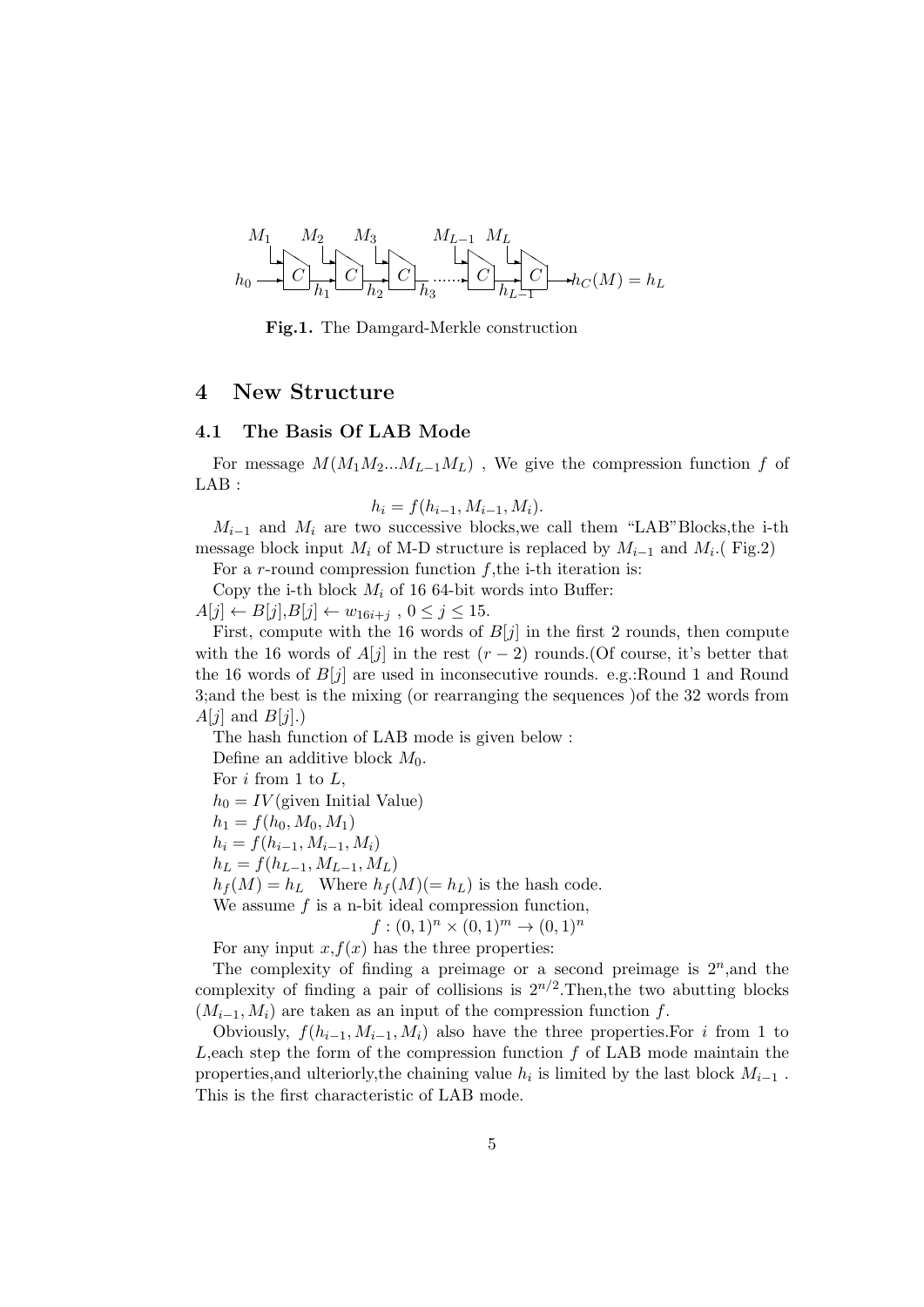

Fig.1. The Damgard-Merkle construction

# 4 New Structure

### 4.1 The Basis Of LAB Mode

For message  $M(M_1M_2...M_{L-1}M_L)$ , We give the compression function f of LAB :

$$
h_i = f(h_{i-1}, M_{i-1}, M_i).
$$

 $M_{i-1}$  and  $M_i$  are two successive blocks, we call them "LAB" Blocks, the i-th message block input  $M_i$  of M-D structure is replaced by  $M_{i-1}$  and  $M_i$ . (Fig.2)

For a r-round compression function  $f$ , the i-th iteration is:

Copy the i-th block  $M_i$  of 16 64-bit words into Buffer:

 $A[j] \leftarrow B[j], B[j] \leftarrow w_{16i+j}$ ,  $0 \leq j \leq 15$ .

First, compute with the 16 words of  $B[j]$  in the first 2 rounds, then compute with the 16 words of  $A[j]$  in the rest  $(r-2)$  rounds. (Of course, it's better that the 16 words of  $B[j]$  are used in inconsecutive rounds. e.g.: Round 1 and Round 3;and the best is the mixing (or rearranging the sequences )of the 32 words from  $A[j]$  and  $B[j]$ .)

The hash function of LAB mode is given below :

Define an additive block  $M_0$ .

For  $i$  from 1 to  $L$ ,

 $h_0 = IV(\text{given Initial Value})$ 

 $h_1 = f(h_0, M_0, M_1)$ 

 $h_i = f(h_{i-1}, M_{i-1}, M_i)$ 

 $h_L = f(h_{L-1}, M_{L-1}, M_L)$ 

 $h_f(M) = h_L$  Where  $h_f(M) (= h_L)$  is the hash code.

We assume  $f$  is a n-bit ideal compression function,

 $f:(0,1)^n\times(0,1)^m\to(0,1)^n$ 

For any input  $x, f(x)$  has the three properties:

The complexity of finding a preimage or a second preimage is  $2^n$ , and the complexity of finding a pair of collisions is  $2^{n/2}$ . Then, the two abutting blocks  $(M_{i-1}, M_i)$  are taken as an input of the compression function f.

Obviously,  $f(h_{i-1}, M_{i-1}, M_i)$  also have the three properties. For i from 1 to  $L$ , each step the form of the compression function f of LAB mode maintain the properties, and ulteriorly, the chaining value  $h_i$  is limited by the last block  $M_{i-1}$ . This is the first characteristic of LAB mode.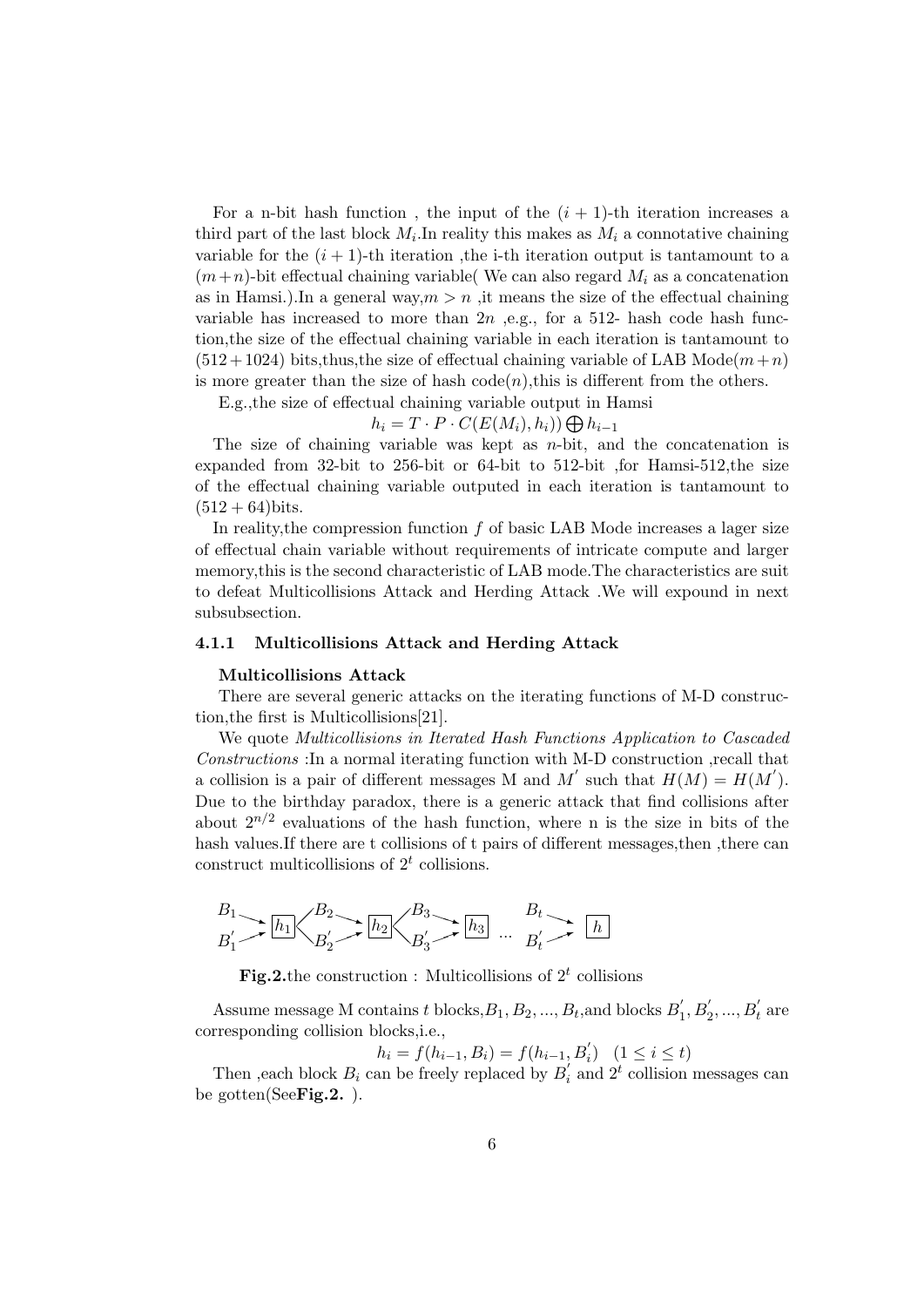For a n-bit hash function, the input of the  $(i + 1)$ -th iteration increases a third part of the last block  $M_i$ . In reality this makes as  $M_i$  a connotative chaining variable for the  $(i + 1)$ -th iteration, the i-th iteration output is tantamount to a  $(m+n)$ -bit effectual chaining variable( We can also regard  $M_i$  as a concatenation as in Hamsi.).In a general way,  $m > n$ , it means the size of the effectual chaining variable has increased to more than  $2n$  , e.g., for a 512- hash code hash function,the size of the effectual chaining variable in each iteration is tantamount to  $(512+1024)$  bits,thus, the size of effectual chaining variable of LAB Mode $(m+n)$ is more greater than the size of hash  $code(n)$ , this is different from the others.

E.g.,the size of effectual chaining variable output in Hamsi

 $h_i = T \cdot P \cdot C(E(M_i), h_i)) \bigoplus h_{i-1}$ 

The size of chaining variable was kept as  $n$ -bit, and the concatenation is expanded from 32-bit to 256-bit or 64-bit to 512-bit ,for Hamsi-512,the size of the effectual chaining variable outputed in each iteration is tantamount to  $(512 + 64)$ bits.

In reality, the compression function  $f$  of basic LAB Mode increases a lager size of effectual chain variable without requirements of intricate compute and larger memory,this is the second characteristic of LAB mode.The characteristics are suit to defeat Multicollisions Attack and Herding Attack .We will expound in next subsubsection.

#### 4.1.1 Multicollisions Attack and Herding Attack

#### Multicollisions Attack

There are several generic attacks on the iterating functions of M-D construction,the first is Multicollisions[21].

We quote Multicollisions in Iterated Hash Functions Application to Cascaded Constructions :In a normal iterating function with M-D construction ,recall that a collision is a pair of different messages M and M' such that  $H(M) = H(M')$ . Due to the birthday paradox, there is a generic attack that find collisions after about  $2^{n/2}$  evaluations of the hash function, where n is the size in bits of the hash values.If there are t collisions of t pairs of different messages,then ,there can construct multicollisions of  $2<sup>t</sup>$  collisions.

$$
B_1 \longrightarrow \boxed{h_1} \left\langle B_2 \longrightarrow \boxed{h_2} \left\langle B_3 \longrightarrow \boxed{h_3} \right\rangle \longrightarrow B_t \longrightarrow \boxed{h}
$$

**Fig.2.** the construction : Multicollisions of  $2^t$  collisions

Assume message M contains t blocks,  $B_1, B_2, ..., B_t$ , and blocks  $B_1'$  $b'_1, B'_2, ..., B'_t$  are corresponding collision blocks,i.e.,

$$
h_i = f(h_{i-1}, B_i) = f(h_{i-1}, B'_i) \quad (1 \le i \le t)
$$

Then , each block  $B_i$  can be freely replaced by  $B_i'$  $i'$  and  $2^t$  collision messages can be gotten(See**Fig.2.**).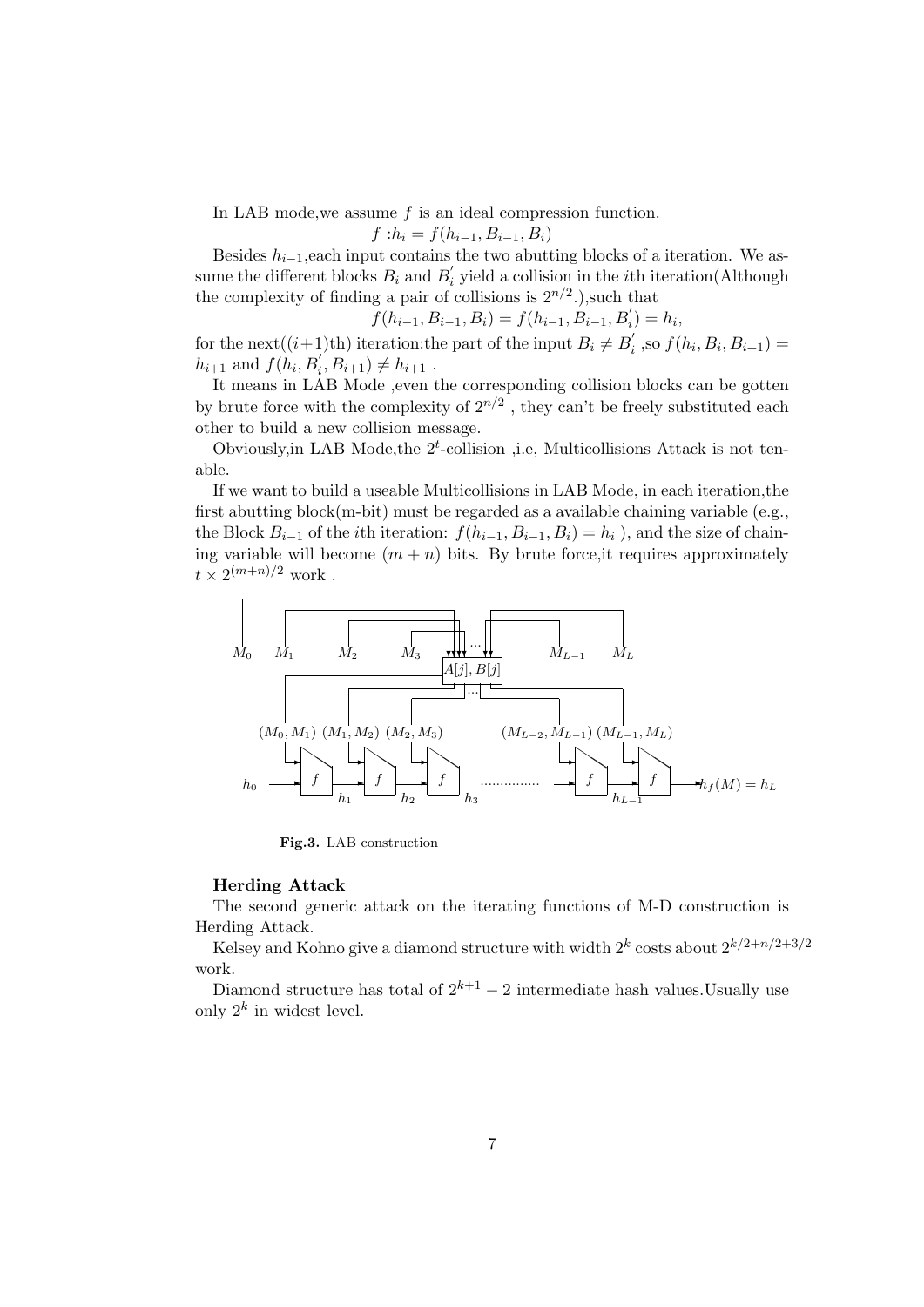In LAB mode, we assume f is an ideal compression function.

 $f : h_i = f(h_{i-1}, B_{i-1}, B_i)$ 

Besides  $h_{i-1}$ , each input contains the two abutting blocks of a iteration. We assume the different blocks  $B_i$  and  $B'_i$  $\mathbf{y}'_i$  yield a collision in the *i*th iteration(Although the complexity of finding a pair of collisions is  $2^{n/2}$ .), such that

$$
f(h_{i-1}, B_{i-1}, B_i) = f(h_{i-1}, B_{i-1}, B'_i) = h_i,
$$

for the next $((i+1)$ <sup>th</sup>) iteration: the part of the input  $B_i \neq B'_i$  $j'_{i}$ , so  $f(h_{i}, B_{i}, B_{i+1}) =$  $h_{i+1}$  and  $f(h_i, B'_i, B'_{i+1}) \neq h_{i+1}$ .

It means in LAB Mode ,even the corresponding collision blocks can be gotten by brute force with the complexity of  $2^{n/2}$ , they can't be freely substituted each other to build a new collision message.

Obviously, in LAB Mode, the  $2<sup>t</sup>$ -collision , i.e, Multicollisions Attack is not tenable.

If we want to build a useable Multicollisions in LAB Mode, in each iteration,the first abutting block(m-bit) must be regarded as a available chaining variable (e.g., the Block  $B_{i-1}$  of the *i*th iteration:  $f(h_{i-1}, B_{i-1}, B_i) = h_i$ , and the size of chaining variable will become  $(m + n)$  bits. By brute force, it requires approximately  $t \times 2^{(m+n)/2}$  work.



Fig.3. LAB construction

#### Herding Attack

The second generic attack on the iterating functions of M-D construction is Herding Attack.

Kelsey and Kohno give a diamond structure with width  $2^k$  costs about  $2^{k/2+n/2+3/2}$ work.

Diamond structure has total of  $2^{k+1} - 2$  intermediate hash values.Usually use only  $2^k$  in widest level.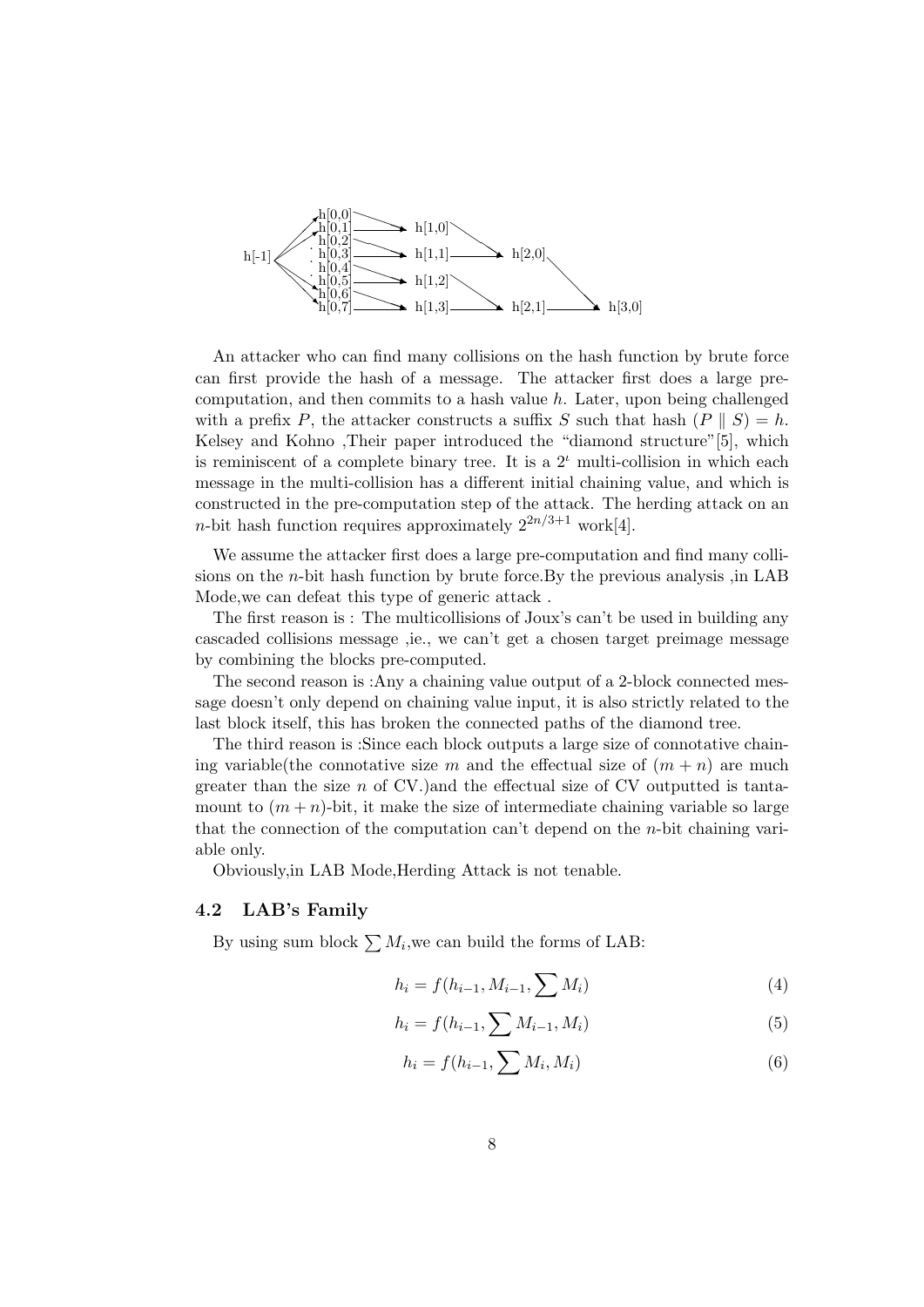

An attacker who can find many collisions on the hash function by brute force can first provide the hash of a message. The attacker first does a large precomputation, and then commits to a hash value  $h$ . Later, upon being challenged with a prefix P, the attacker constructs a suffix S such that hash  $(P \parallel S) = h$ . Kelsey and Kohno ,Their paper introduced the "diamond structure"[5], which is reminiscent of a complete binary tree. It is a  $2<sup>i</sup>$  multi-collision in which each message in the multi-collision has a different initial chaining value, and which is constructed in the pre-computation step of the attack. The herding attack on an *n*-bit hash function requires approximately  $2^{2n/3+1}$  work[4].

We assume the attacker first does a large pre-computation and find many collisions on the  $n$ -bit hash function by brute force. By the previous analysis , in LAB Mode,we can defeat this type of generic attack .

The first reason is : The multicollisions of Joux's can't be used in building any cascaded collisions message ,ie., we can't get a chosen target preimage message by combining the blocks pre-computed.

The second reason is :Any a chaining value output of a 2-block connected message doesn't only depend on chaining value input, it is also strictly related to the last block itself, this has broken the connected paths of the diamond tree.

The third reason is :Since each block outputs a large size of connotative chaining variable(the connotative size m and the effectual size of  $(m + n)$  are much greater than the size  $n$  of CV.)and the effectual size of CV outputted is tantamount to  $(m+n)$ -bit, it make the size of intermediate chaining variable so large that the connection of the computation can't depend on the  $n$ -bit chaining variable only.

Obviously,in LAB Mode,Herding Attack is not tenable.

#### 4.2 LAB's Family

By using sum block  $\sum M_i$ , we can build the forms of LAB:

$$
h_i = f(h_{i-1}, M_{i-1}, \sum M_i)
$$
\n(4)

$$
h_i = f(h_{i-1}, \sum M_{i-1}, M_i)
$$
\n(5)

$$
h_i = f(h_{i-1}, \sum M_i, M_i) \tag{6}
$$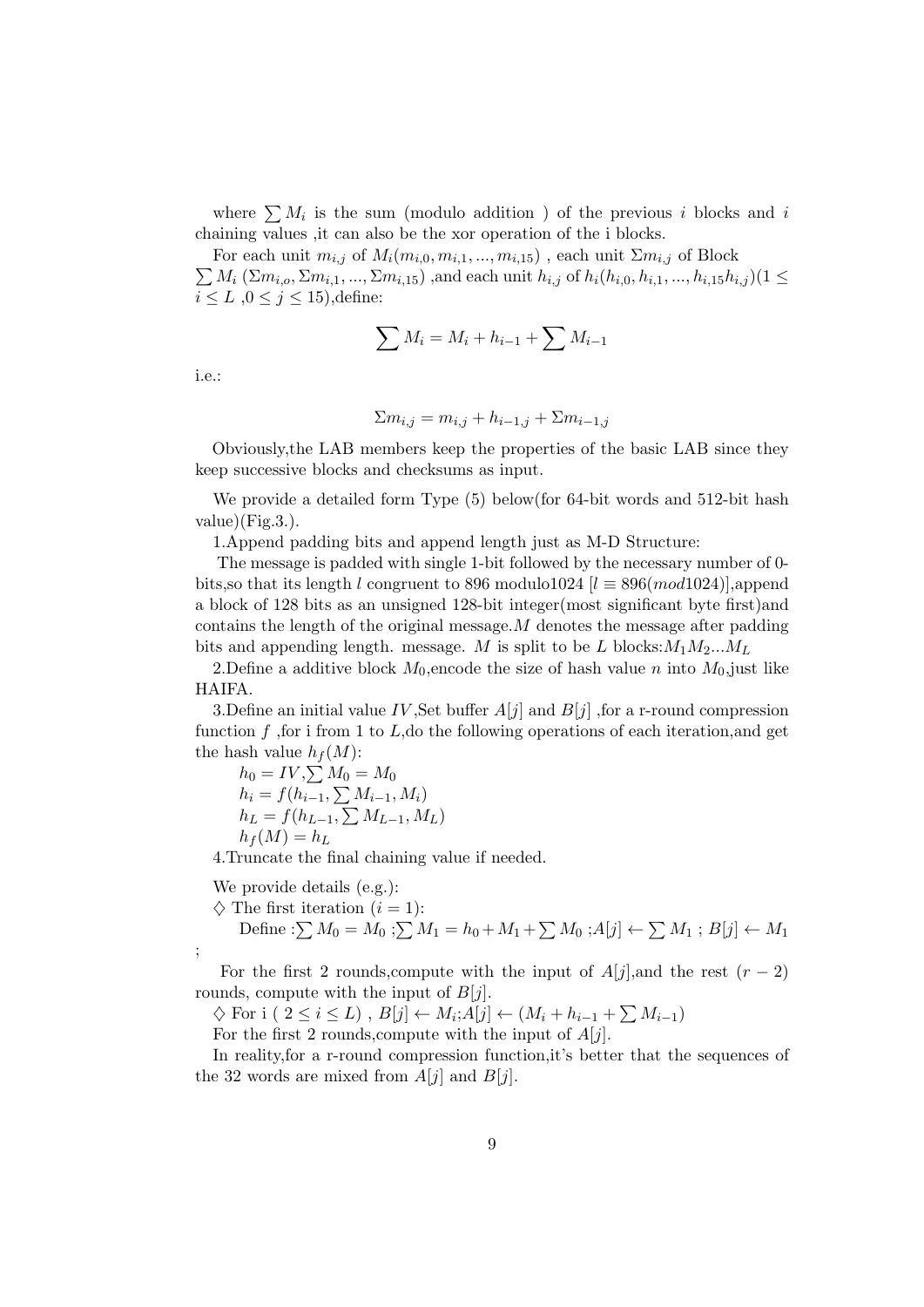where  $\sum M_i$  is the sum (modulo addition) of the previous i blocks and i chaining values ,it can also be the xor operation of the i blocks.

 $\sum M_i \ (\Sigma m_{i,o}, \Sigma m_{i,1}, ..., \Sigma m_{i,15})$ , and each unit  $h_{i,j}$  of  $h_i(h_{i,0}, h_{i,1}, ..., h_{i,15}h_{i,j})$  $(1 \leq i \leq j \leq n)$ For each unit  $m_{i,j}$  of  $M_i(m_{i,0}, m_{i,1}, ..., m_{i,15})$ , each unit  $\sum m_{i,j}$  of Block  $i \leq L$ ,  $0 \leq j \leq 15$ ), define:

$$
\sum M_i = M_i + h_{i-1} + \sum M_{i-1}
$$

i.e.:

$$
\Sigma m_{i,j} = m_{i,j} + h_{i-1,j} + \Sigma m_{i-1,j}
$$

Obviously,the LAB members keep the properties of the basic LAB since they keep successive blocks and checksums as input.

We provide a detailed form Type (5) below(for 64-bit words and 512-bit hash  $value)$ (Fig.3.).

1.Append padding bits and append length just as M-D Structure:

The message is padded with single 1-bit followed by the necessary number of 0 bits, so that its length l congruent to 896 modulo1024 [ $l \equiv 896 (mod 1024)$ ], append a block of 128 bits as an unsigned 128-bit integer(most significant byte first)and contains the length of the original message.  $M$  denotes the message after padding bits and appending length. message. M is split to be L blocks: $M_1M_2...M_L$ 

2. Define a additive block  $M_0$ , encode the size of hash value n into  $M_0$ , just like HAIFA.

3.Define an initial value IV, Set buffer  $A[j]$  and  $B[j]$ , for a r-round compression function f, for i from 1 to L, do the following operations of each iteration, and get the hash value  $h_f(M)$ :

 $h_0 = IV, \sum M_0 = M_0$  $h_i = f(h_{i-1}, \sum M_{i-1}, M_i)$  $h_L = f(h_{L-1}, \sum M_{L-1}, M_L)$  $h_f(M) = h_L$ 

4.Truncate the final chaining value if needed.

We provide details (e.g.):

;

 $\diamond$  The first iteration  $(i = 1)$ :

Define : $\sum M_0 = M_0$ ; $\sum M_1 = h_0 + M_1 + \sum M_0$ ; $A[j] \leftarrow \sum M_1$ ;  $B[j] \leftarrow M_1$ 

For the first 2 rounds,compute with the input of  $A[j]$ , and the rest  $(r-2)$ rounds, compute with the input of  $B[j]$ .

 $\diamondsuit$  For i (  $2 \leq i \leq L$ ),  $B[j] \leftarrow M_i; A[j] \leftarrow (M_i + h_{i-1} + \sum M_{i-1})$ 

For the first 2 rounds, compute with the input of  $A[j]$ .

In reality,for a r-round compression function,it's better that the sequences of the 32 words are mixed from  $A[j]$  and  $B[j]$ .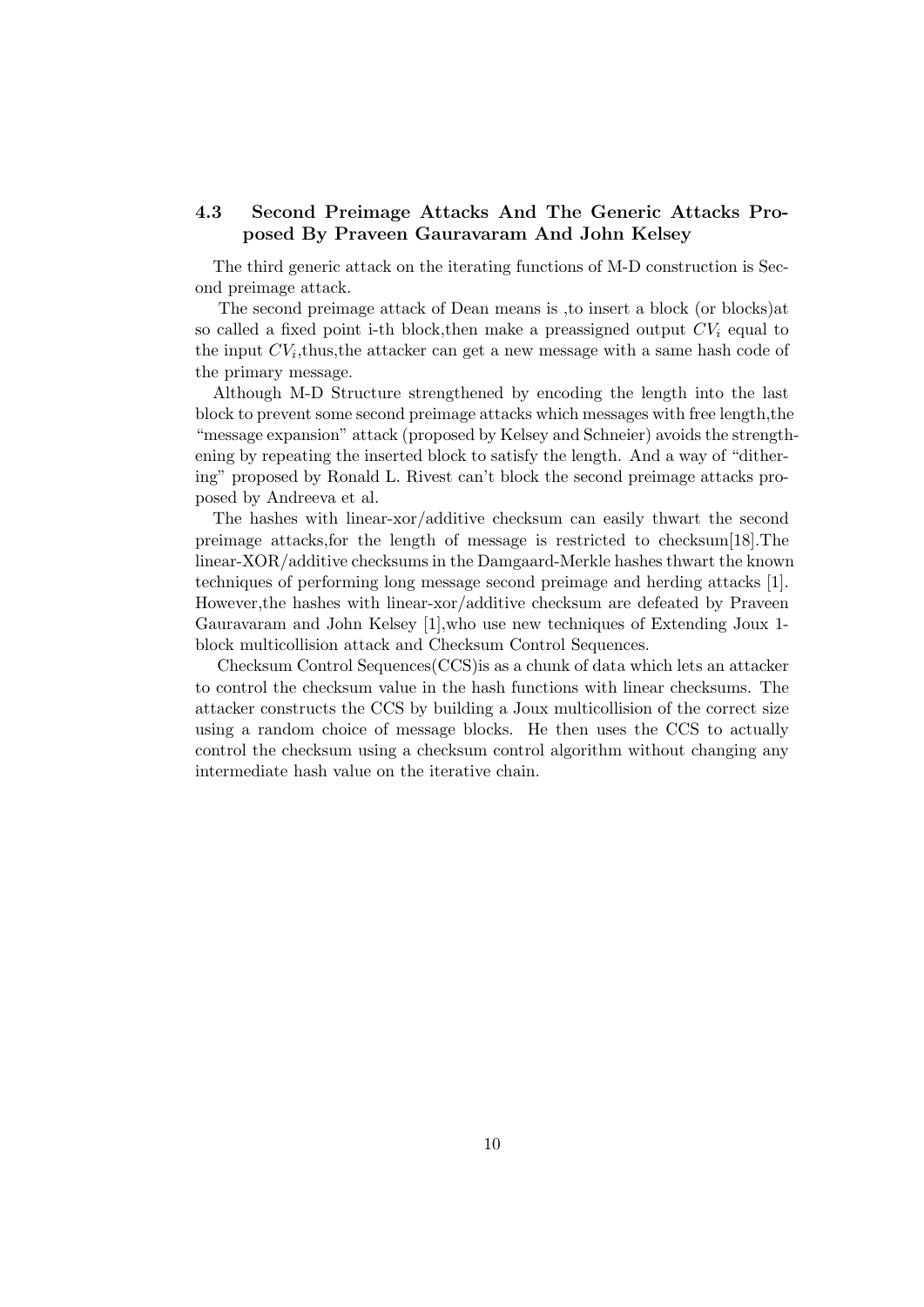### 4.3 Second Preimage Attacks And The Generic Attacks Proposed By Praveen Gauravaram And John Kelsey

The third generic attack on the iterating functions of M-D construction is Second preimage attack.

The second preimage attack of Dean means is ,to insert a block (or blocks)at so called a fixed point i-th block, then make a preassigned output  $CV_i$  equal to the input  $CV_i$ , thus, the attacker can get a new message with a same hash code of the primary message.

Although M-D Structure strengthened by encoding the length into the last block to prevent some second preimage attacks which messages with free length,the "message expansion" attack (proposed by Kelsey and Schneier) avoids the strengthening by repeating the inserted block to satisfy the length. And a way of "dithering" proposed by Ronald L. Rivest can't block the second preimage attacks proposed by Andreeva et al.

The hashes with linear-xor/additive checksum can easily thwart the second preimage attacks,for the length of message is restricted to checksum[18].The linear-XOR/additive checksums in the Damgaard-Merkle hashes thwart the known techniques of performing long message second preimage and herding attacks [1]. However,the hashes with linear-xor/additive checksum are defeated by Praveen Gauravaram and John Kelsey [1],who use new techniques of Extending Joux 1 block multicollision attack and Checksum Control Sequences.

Checksum Control Sequences(CCS)is as a chunk of data which lets an attacker to control the checksum value in the hash functions with linear checksums. The attacker constructs the CCS by building a Joux multicollision of the correct size using a random choice of message blocks. He then uses the CCS to actually control the checksum using a checksum control algorithm without changing any intermediate hash value on the iterative chain.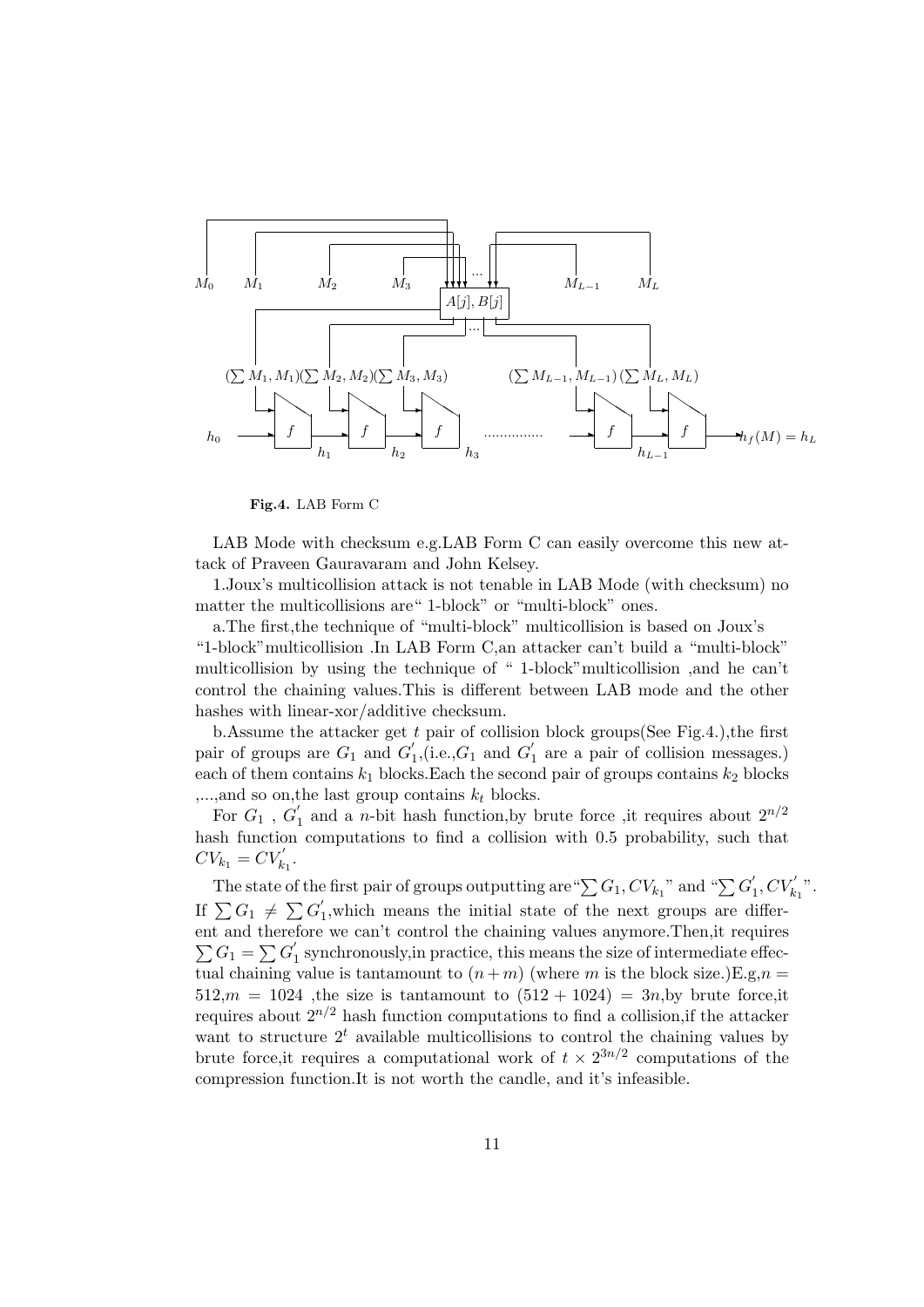

Fig.4. LAB Form C

LAB Mode with checksum e.g.LAB Form C can easily overcome this new attack of Praveen Gauravaram and John Kelsey.

1.Joux's multicollision attack is not tenable in LAB Mode (with checksum) no matter the multicollisions are" 1-block" or "multi-block" ones.

a.The first,the technique of "multi-block" multicollision is based on Joux's "1-block"multicollision .In LAB Form C,an attacker can't build a "multi-block" multicollision by using the technique of " 1-block"multicollision ,and he can't control the chaining values.This is different between LAB mode and the other hashes with linear-xor/additive checksum.

b.Assume the attacker get  $t$  pair of collision block groups(See Fig.4.), the first pair of groups are  $G_1$  and  $G_1'$  $\eta_1$ , (i.e.,  $G_1$  and  $G_1'$  $i_1$  are a pair of collision messages.) each of them contains  $k_1$  blocks. Each the second pair of groups contains  $k_2$  blocks  $,...$ ,and so on, the last group contains  $k_t$  blocks.

For  $G_1$  ,  $G_1^{'}$  $\frac{1}{1}$  and a *n*-bit hash function, by brute force, it requires about  $2^{n/2}$ hash function computations to find a collision with 0.5 probability, such that  $CV_{k_1} = CV'_{k_1}.$ 

The state of the first pair of groups outputting are " $\sum G_1, CV_{k_1}$ " and " $\sum G_1'$  $'_{1}, CV'_{k_1}$ ". If  $\sum G_1 \neq \sum G_1'$  $\int_1$ , which means the initial state of the next groups are different and therefore we can't control the chaining values anymore.Then,it requires  $\sum G_1 = \sum G_1'$ 1 synchronously,in practice, this means the size of intermediate effectual chaining value is tantamount to  $(n+m)$  (where m is the block size.)E.g, $n =$  $512,m = 1024$ , the size is tantamount to  $(512 + 1024) = 3n$ , by brute force, it requires about  $2^{n/2}$  hash function computations to find a collision, if the attacker want to structure  $2<sup>t</sup>$  available multicollisions to control the chaining values by brute force, it requires a computational work of  $t \times 2^{3n/2}$  computations of the compression function.It is not worth the candle, and it's infeasible.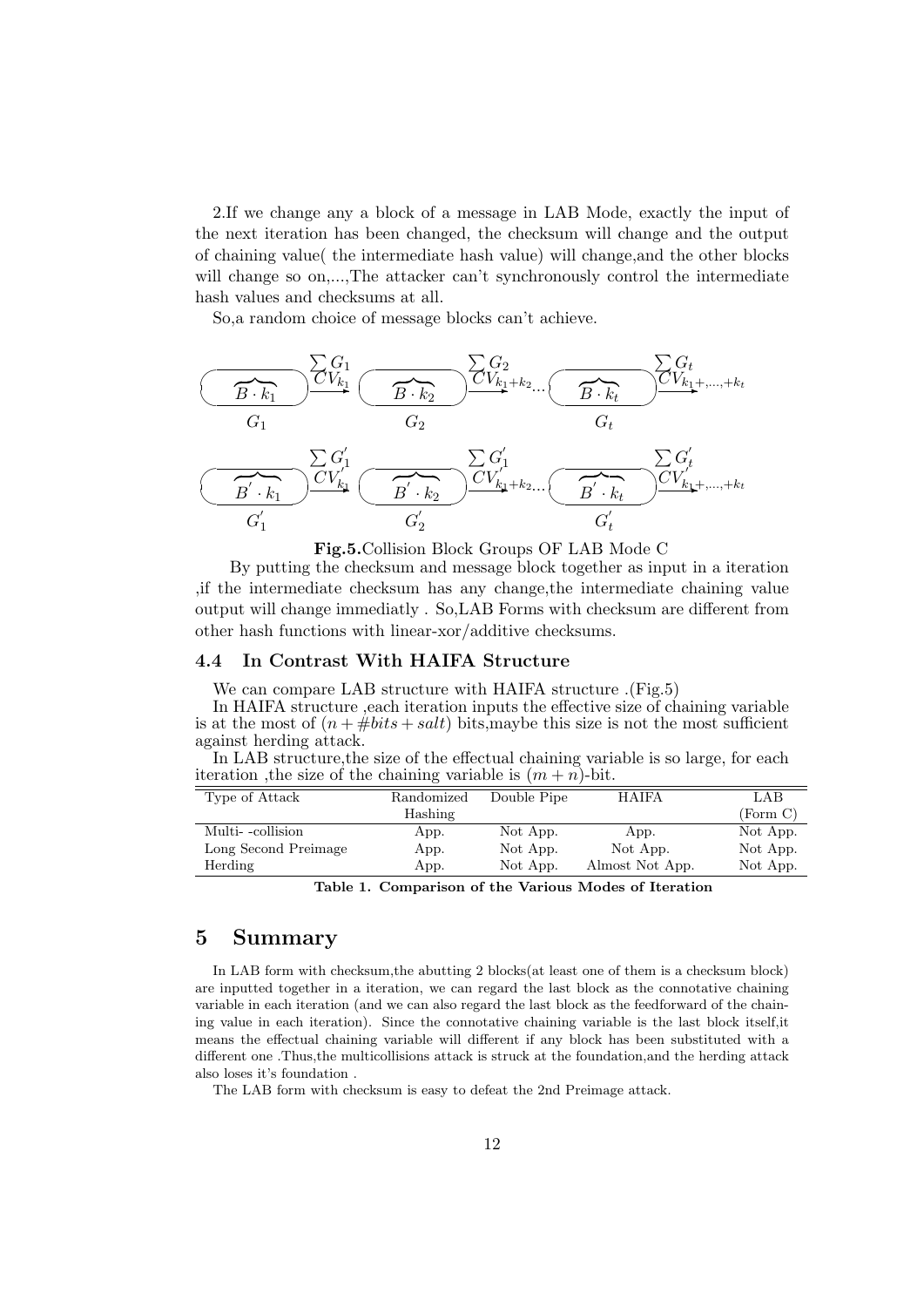2.If we change any a block of a message in LAB Mode, exactly the input of the next iteration has been changed, the checksum will change and the output of chaining value( the intermediate hash value) will change,and the other blocks will change so on,...,The attacker can't synchronously control the intermediate hash values and checksums at all.

So,a random choice of message blocks can't achieve.

$$
\frac{\sqrt{G_{k_1}}}{G_1} \frac{\sum_{V_{k_1}}^{G_1} \sqrt{G_{V_{k_1+k_2}}}\sqrt{C_{V_{k_1+k_2}}}\sqrt{C_{V_{k_1+k_3}}}\sqrt{C_{V_{k_1+k_3}}}\sqrt{C_{V_{k_1+k_3}}}\sqrt{C_{V_{k_1+k_4}}}\sqrt{C_{V_{k_1+k_4}}}\sqrt{C_{V_{k_1+k_4}}}\sqrt{C_{V_{k_1+k_4}}}\sqrt{C_{V_{k_1+k_4}}}\sqrt{C_{V_{k_1+k_4}}}\sqrt{C_{V_{k_1+k_4}}}\sqrt{C_{V_{k_1+k_4}}}\sqrt{C_{V_{k_1+k_4}}}\sqrt{C_{V_{k_1+k_4}}}\sqrt{C_{V_{k_1+k_4}}}\sqrt{C_{V_{k_1+k_4}}}\sqrt{C_{V_{k_1+k_4}}}\sqrt{C_{V_{k_1+k_4}}}\sqrt{C_{V_{k_1+k_4}}}\sqrt{C_{V_{k_1+k_4}}}\sqrt{C_{V_{k_1+k_4}}}\sqrt{C_{V_{k_1+k_4}}}\sqrt{C_{V_{k_1+k_4}}}\sqrt{C_{V_{k_1+k_4}}}\sqrt{C_{V_{k_1+k_4}}}\sqrt{C_{V_{k_1+k_4}}}\sqrt{C_{V_{k_1+k_4}}}\sqrt{C_{V_{k_1+k_4}}}\sqrt{C_{V_{k_1+k_4}}}\sqrt{C_{V_{k_1+k_4}}}\sqrt{C_{V_{k_1+k_4}}}\sqrt{C_{V_{k_1+k_4}}}\sqrt{C_{V_{k_1+k_4}}}\sqrt{C_{V_{k_1+k_4}}}\sqrt{C_{V_{k_1+k_4}}}\sqrt{C_{V_{k_1+k_4}}}\sqrt{C_{V_{k_1+k_4}}}\sqrt{C_{V_{k_1+k_4}}}\sqrt{C_{V_{k_1+k_4}}}\sqrt{C_{V_{k_1+k_4}}}\sqrt{C_{V_{k_1+k_4}}}\sqrt{C_{V_{k_1+k_4}}}\sqrt{C_{V_{k_1+k_4}}}\sqrt{C_{V_{k_1+k_4}}}\sqrt{C_{V_{k_1+k_4}}}\sqrt{C_{V_{k_1+k_4}}}\sqrt{C_{V_{k_1+k_4}}}\sqrt{C_{V_{k_1+k_4}}}\sqrt{C_{V_{k_1+k_4}}}\sqrt{C_{V_{k_1+k_4}}}\sqrt{C_{V_{k_1+k_4}}
$$

Fig.5.Collision Block Groups OF LAB Mode C

By putting the checksum and message block together as input in a iteration ,if the intermediate checksum has any change,the intermediate chaining value output will change immediatly . So,LAB Forms with checksum are different from other hash functions with linear-xor/additive checksums.

### 4.4 In Contrast With HAIFA Structure

We can compare LAB structure with HAIFA structure .(Fig.5)

In HAIFA structure ,each iteration inputs the effective size of chaining variable is at the most of  $(n + #bits + salt)$  bits, maybe this size is not the most sufficient against herding attack.

In LAB structure,the size of the effectual chaining variable is so large, for each iteration , the size of the chaining variable is  $(m + n)$ -bit.

| Type of Attack       | Randomized | Double Pipe | <b>HAIFA</b>    | LAB      |
|----------------------|------------|-------------|-----------------|----------|
|                      | Hashing    |             |                 | (Form C) |
| Multi-collision      | App.       | Not App.    | App.            | Not App. |
| Long Second Preimage | App.       | Not App.    | Not App.        | Not App. |
| Herding              | App.       | Not App.    | Almost Not App. | Not App. |
| m 11 1 1             |            | $0.1$ $T$   | <b>BF</b>       |          |

Table 1. Comparison of the Various Modes of Iteration

# 5 Summary

In LAB form with checksum,the abutting 2 blocks(at least one of them is a checksum block) are inputted together in a iteration, we can regard the last block as the connotative chaining variable in each iteration (and we can also regard the last block as the feedforward of the chaining value in each iteration). Since the connotative chaining variable is the last block itself,it means the effectual chaining variable will different if any block has been substituted with a different one .Thus,the multicollisions attack is struck at the foundation,and the herding attack also loses it's foundation .

The LAB form with checksum is easy to defeat the 2nd Preimage attack.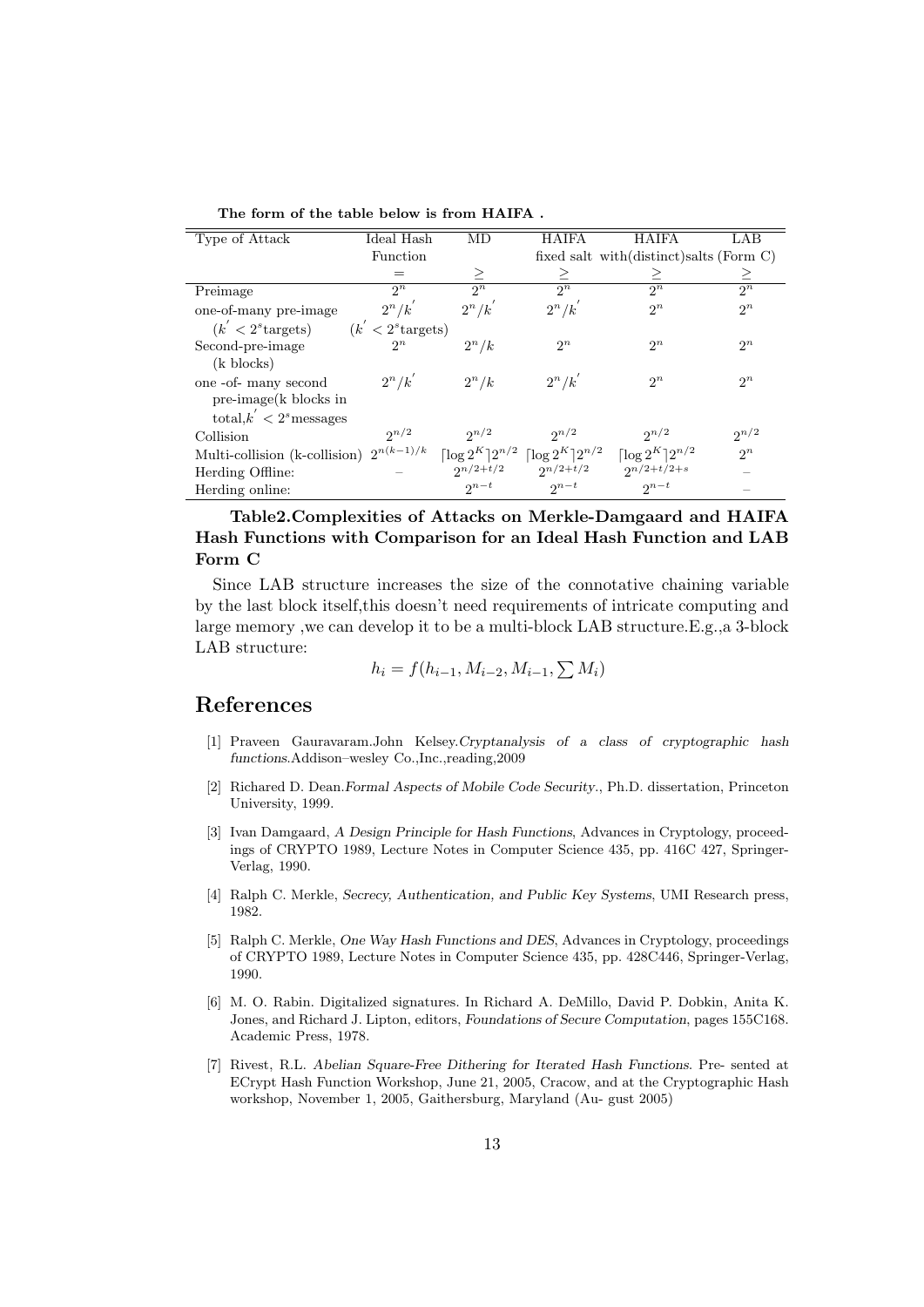| Type of Attack                          | Ideal Hash     | MD        | <b>HAIFA</b>                                                    | <b>HAIFA</b>                     | LAB       |  |  |  |
|-----------------------------------------|----------------|-----------|-----------------------------------------------------------------|----------------------------------|-----------|--|--|--|
|                                         | Function       |           | fixed salt with $\text{(distinct)}$ salts (Form C)              |                                  |           |  |  |  |
|                                         | $=$            | ≥         | ≥                                                               | ≥                                | ≥         |  |  |  |
| Preimage                                | $2^n$          | $2^n$     | $2^n$                                                           | $2^n$                            | $2^n$     |  |  |  |
| one-of-many pre-image                   | $2^n/k'$       | $2^n/k'$  | $2^n/k'$                                                        | $2^n$                            | $2^n$     |  |  |  |
| $(k' < 2s$ targets) $(k' < 2s$ targets) |                |           |                                                                 |                                  |           |  |  |  |
| Second-pre-image                        | $2^n$          | $2^n/k$   | $2^n$                                                           | $2^n$                            | $2^n$     |  |  |  |
| $(k \text{ blocks})$                    |                |           |                                                                 |                                  |           |  |  |  |
| one -of- many second                    | $2^n/k'$       | $2^n/k$   | $2^n/k'$                                                        | $2^n$                            | $2^n$     |  |  |  |
| $pre\text{-image}(k)$ blocks in         |                |           |                                                                 |                                  |           |  |  |  |
| total, $k' < 2s$ messages               |                |           |                                                                 |                                  |           |  |  |  |
| Collision                               | $2^{n/2}$      | $2^{n/2}$ | $2^{n/2}$                                                       | $2^{n/2}$                        | $2^{n/2}$ |  |  |  |
| Multi-collision (k-collision)           | $2^{n(k-1)/k}$ |           | $\lceil \log 2^K \rceil 2^{n/2} \rceil \log 2^K \rceil 2^{n/2}$ | $\lceil \log 2^K \rceil 2^{n/2}$ | $2^n$     |  |  |  |
| Herding Offline:                        |                |           | $2^{n/2+t/2}$ $2^{n/2+t/2}$                                     | $2^{n/2+t/2+s}$                  |           |  |  |  |
| Herding online:                         |                | $2^{n-t}$ | $2^{n-t}$                                                       | $2^{n-t}$                        |           |  |  |  |

The form of the table below is from HAIFA .

Table2.Complexities of Attacks on Merkle-Damgaard and HAIFA Hash Functions with Comparison for an Ideal Hash Function and LAB Form C

Since LAB structure increases the size of the connotative chaining variable by the last block itself,this doesn't need requirements of intricate computing and large memory ,we can develop it to be a multi-block LAB structure.E.g.,a 3-block LAB structure:

$$
h_i = f(h_{i-1}, M_{i-2}, M_{i-1}, \sum M_i)
$$

# References

- [1] Praveen Gauravaram.John Kelsey.Cryptanalysis of a class of cryptographic hash functions.Addison–wesley Co.,Inc.,reading,2009
- [2] Richared D. Dean.Formal Aspects of Mobile Code Security., Ph.D. dissertation, Princeton University, 1999.
- [3] Ivan Damgaard, A Design Principle for Hash Functions, Advances in Cryptology, proceedings of CRYPTO 1989, Lecture Notes in Computer Science 435, pp. 416C 427, Springer-Verlag, 1990.
- [4] Ralph C. Merkle, Secrecy, Authentication, and Public Key Systems, UMI Research press, 1982.
- [5] Ralph C. Merkle, One Way Hash Functions and DES, Advances in Cryptology, proceedings of CRYPTO 1989, Lecture Notes in Computer Science 435, pp. 428C446, Springer-Verlag, 1990.
- [6] M. O. Rabin. Digitalized signatures. In Richard A. DeMillo, David P. Dobkin, Anita K. Jones, and Richard J. Lipton, editors, Foundations of Secure Computation, pages 155C168. Academic Press, 1978.
- [7] Rivest, R.L. Abelian Square-Free Dithering for Iterated Hash Functions. Pre- sented at ECrypt Hash Function Workshop, June 21, 2005, Cracow, and at the Cryptographic Hash workshop, November 1, 2005, Gaithersburg, Maryland (Au- gust 2005)